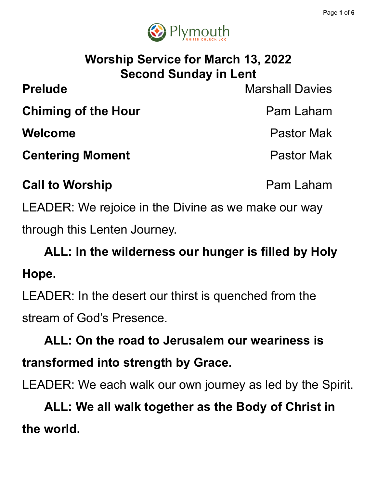

# **Worship Service for March 13, 2022 Second Sunday in Lent**

**Prelude** Marshall Davies **Chiming of the Hour Pam Laham Welcome** Pastor Mak **Centering Moment Centering Moment** 

**Call to Worship Pam Laham** 

LEADER: We rejoice in the Divine as we make our way through this Lenten Journey.

**ALL: In the wilderness our hunger is filled by Holy Hope.**

LEADER: In the desert our thirst is quenched from the stream of God's Presence.

**ALL: On the road to Jerusalem our weariness is transformed into strength by Grace.**

LEADER: We each walk our own journey as led by the Spirit.

**ALL: We all walk together as the Body of Christ in the world.**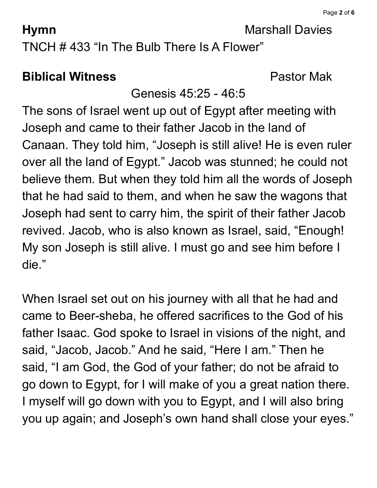**Hymn** Marshall Davies

TNCH # 433 "In The Bulb There Is A Flower"

# **Biblical Witness** Pastor Mak

# Genesis 45:25 - 46:5

The sons of Israel went up out of Egypt after meeting with Joseph and came to their father Jacob in the land of Canaan. They told him, "Joseph is still alive! He is even ruler over all the land of Egypt." Jacob was stunned; he could not believe them. But when they told him all the words of Joseph that he had said to them, and when he saw the wagons that Joseph had sent to carry him, the spirit of their father Jacob revived. Jacob, who is also known as Israel, said, "Enough! My son Joseph is still alive. I must go and see him before I die."

When Israel set out on his journey with all that he had and came to Beer-sheba, he offered sacrifices to the God of his father Isaac. God spoke to Israel in visions of the night, and said, "Jacob, Jacob." And he said, "Here I am." Then he said, "I am God, the God of your father; do not be afraid to go down to Egypt, for I will make of you a great nation there. I myself will go down with you to Egypt, and I will also bring you up again; and Joseph's own hand shall close your eyes."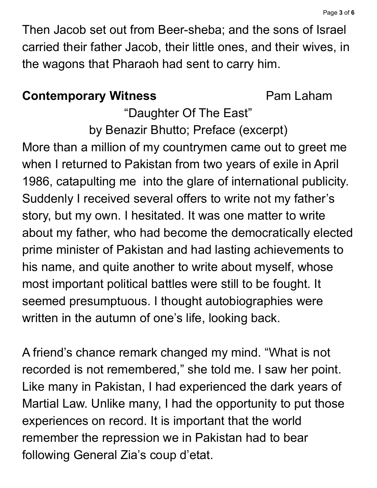Then Jacob set out from Beer-sheba; and the sons of Israel carried their father Jacob, their little ones, and their wives, in the wagons that Pharaoh had sent to carry him.

### **Contemporary Witness Pam Laham**

"Daughter Of The East"

by Benazir Bhutto; Preface (excerpt) More than a million of my countrymen came out to greet me when I returned to Pakistan from two years of exile in April 1986, catapulting me into the glare of international publicity. Suddenly I received several offers to write not my father's story, but my own. I hesitated. It was one matter to write about my father, who had become the democratically elected prime minister of Pakistan and had lasting achievements to his name, and quite another to write about myself, whose most important political battles were still to be fought. It seemed presumptuous. I thought autobiographies were written in the autumn of one's life, looking back.

A friend's chance remark changed my mind. "What is not recorded is not remembered, " she told me. I saw her point. Like many in Pakistan, I had experienced the dark years of Martial Law. Unlike many, I had the opportunity to put those experiences on record. It is important that the world remember the repression we in Pakistan had to bear following General Zia's coup d'etat.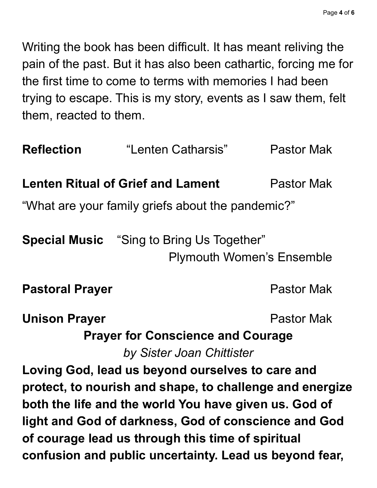Writing the book has been difficult. It has meant reliving the pain of the past. But it has also been cathartic, forcing me for the first time to come to terms with memories I had been trying to escape. This is my story, events as I saw them, felt them, reacted to them.

| <b>Reflection</b>                                                                    | "Lenten Catharsis"                       | <b>Pastor Mak</b> |
|--------------------------------------------------------------------------------------|------------------------------------------|-------------------|
|                                                                                      | <b>Lenten Ritual of Grief and Lament</b> | Pastor Mak        |
| "What are your family griefs about the pandemic?"                                    |                                          |                   |
| <b>Special Music</b> "Sing to Bring Us Together"<br><b>Plymouth Women's Ensemble</b> |                                          |                   |
| <b>Pastoral Prayer</b>                                                               |                                          | <b>Pastor Mak</b> |
| <b>Unison Prayer</b>                                                                 |                                          | <b>Pastor Mak</b> |
| <b>Prayer for Conscience and Courage</b><br>by Sister Joan Chittister                |                                          |                   |
| Loving God, lead us beyond ourselves to care and                                     |                                          |                   |
| protect, to nourish and shape, to challenge and energize                             |                                          |                   |
| both the life and the world You have given us. God of                                |                                          |                   |
| light and God of darkness, God of conscience and God                                 |                                          |                   |
| of courage lead us through this time of spiritual                                    |                                          |                   |
| confusion and public uncertainty. Lead us beyond fear,                               |                                          |                   |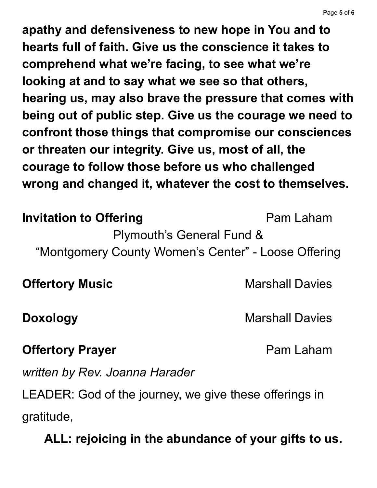**apathy and defensiveness to new hope in You and to hearts full of faith. Give us the conscience it takes to comprehend what we're facing, to see what we're looking at and to say what we see so that others, hearing us, may also brave the pressure that comes with being out of public step. Give us the courage we need to confront those things that compromise our consciences or threaten our integrity. Give us, most of all, the courage to follow those before us who challenged wrong and changed it, whatever the cost to themselves.**

### **Invitation to Offering Pam Laham**

Plymouth's General Fund &

"Montgomery County Women's Center" - Loose Offering

**Offertory Music Marshall Davies** 

**Doxology** Marshall Davies

#### **Offertory Prayer Pam Laham**

*written by Rev. Joanna Harader*

LEADER: God of the journey, we give these offerings in gratitude,

**ALL: rejoicing in the abundance of your gifts to us.**